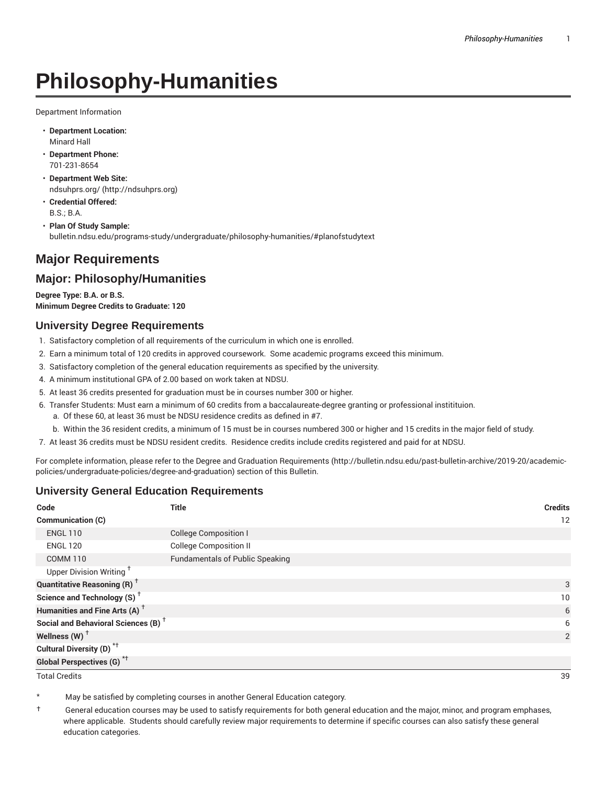# **Philosophy-Humanities**

Department Information

- **Department Location:** Minard Hall
- **Department Phone:** 701-231-8654
- **Department Web Site:** ndsuhprs.org/ (http://ndsuhprs.org)
- **Credential Offered:** B.S.; B.A.
- **Plan Of Study Sample:** bulletin.ndsu.edu/programs-study/undergraduate/philosophy-humanities/#planofstudytext

## **Major Requirements**

### **Major: Philosophy/Humanities**

**Degree Type: B.A. or B.S. Minimum Degree Credits to Graduate: 120**

#### **University Degree Requirements**

- 1. Satisfactory completion of all requirements of the curriculum in which one is enrolled.
- 2. Earn a minimum total of 120 credits in approved coursework. Some academic programs exceed this minimum.
- 3. Satisfactory completion of the general education requirements as specified by the university.
- 4. A minimum institutional GPA of 2.00 based on work taken at NDSU.
- 5. At least 36 credits presented for graduation must be in courses number 300 or higher.
- 6. Transfer Students: Must earn a minimum of 60 credits from a baccalaureate-degree granting or professional institituion.
	- a. Of these 60, at least 36 must be NDSU residence credits as defined in #7.
	- b. Within the 36 resident credits, a minimum of 15 must be in courses numbered 300 or higher and 15 credits in the major field of study.
- 7. At least 36 credits must be NDSU resident credits. Residence credits include credits registered and paid for at NDSU.

For complete information, please refer to the Degree and Graduation Requirements (http://bulletin.ndsu.edu/past-bulletin-archive/2019-20/academicpolicies/undergraduate-policies/degree-and-graduation) section of this Bulletin.

#### **University General Education Requirements**

| Code                                            | <b>Title</b>                           | <b>Credits</b> |
|-------------------------------------------------|----------------------------------------|----------------|
| <b>Communication (C)</b>                        |                                        | 12             |
| <b>ENGL 110</b>                                 | <b>College Composition I</b>           |                |
| <b>ENGL 120</b>                                 | <b>College Composition II</b>          |                |
| <b>COMM 110</b>                                 | <b>Fundamentals of Public Speaking</b> |                |
| Upper Division Writing <sup>+</sup>             |                                        |                |
| <b>Quantitative Reasoning (R)</b> <sup>†</sup>  |                                        | 3              |
| Science and Technology (S) <sup>+</sup>         |                                        | 10             |
| Humanities and Fine Arts (A) <sup>+</sup>       |                                        | 6              |
| Social and Behavioral Sciences (B) <sup>+</sup> |                                        | 6              |
| Wellness $(W)$ <sup>+</sup>                     |                                        | 2              |
| Cultural Diversity (D) <sup>*†</sup>            |                                        |                |
| Global Perspectives (G) <sup>*†</sup>           |                                        |                |

Total Credits 39

May be satisfied by completing courses in another General Education category.

† General education courses may be used to satisfy requirements for both general education and the major, minor, and program emphases, where applicable. Students should carefully review major requirements to determine if specific courses can also satisfy these general education categories.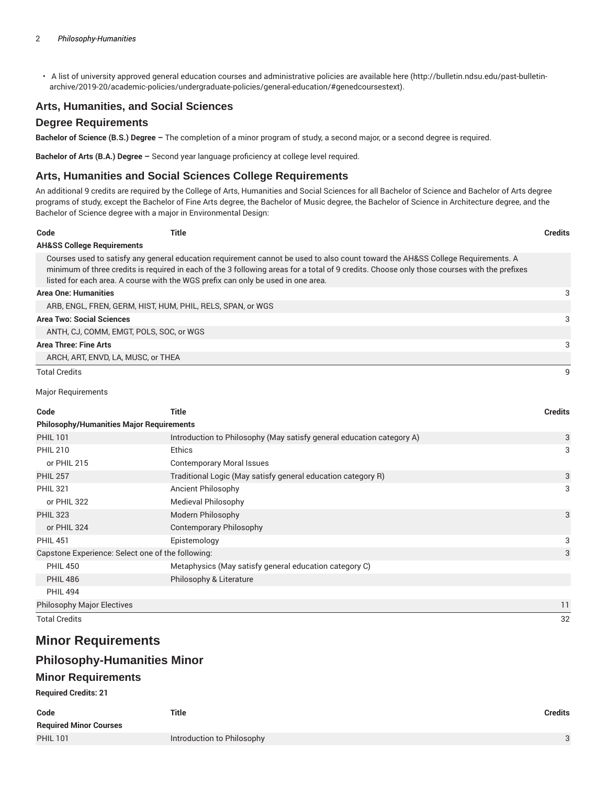• A list of university approved general education courses and administrative policies are available here (http://bulletin.ndsu.edu/past-bulletinarchive/2019-20/academic-policies/undergraduate-policies/general-education/#genedcoursestext).

#### **Arts, Humanities, and Social Sciences**

#### **Degree Requirements**

**Bachelor of Science (B.S.) Degree –** The completion of a minor program of study, a second major, or a second degree is required.

**Bachelor of Arts (B.A.) Degree –** Second year language proficiency at college level required.

#### **Arts, Humanities and Social Sciences College Requirements**

An additional 9 credits are required by the College of Arts, Humanities and Social Sciences for all Bachelor of Science and Bachelor of Arts degree programs of study, except the Bachelor of Fine Arts degree, the Bachelor of Music degree, the Bachelor of Science in Architecture degree, and the Bachelor of Science degree with a major in Environmental Design:

| Code                                  | Title                                                                            |                                                                                                                                                                                                                                                                                | <b>Credits</b> |
|---------------------------------------|----------------------------------------------------------------------------------|--------------------------------------------------------------------------------------------------------------------------------------------------------------------------------------------------------------------------------------------------------------------------------|----------------|
| <b>AH&amp;SS College Requirements</b> |                                                                                  |                                                                                                                                                                                                                                                                                |                |
|                                       | listed for each area. A course with the WGS prefix can only be used in one area. | Courses used to satisfy any general education requirement cannot be used to also count toward the AH&SS College Requirements. A<br>minimum of three credits is required in each of the 3 following areas for a total of 9 credits. Choose only those courses with the prefixes |                |
| <b>Area One: Humanities</b>           |                                                                                  |                                                                                                                                                                                                                                                                                | 3              |
|                                       | ARB, ENGL, FREN, GERM, HIST, HUM, PHIL, RELS, SPAN, or WGS                       |                                                                                                                                                                                                                                                                                |                |
| <b>Area Two: Social Sciences</b>      |                                                                                  |                                                                                                                                                                                                                                                                                | 3              |
|                                       | ANTH, CJ, COMM, EMGT, POLS, SOC, or WGS                                          |                                                                                                                                                                                                                                                                                |                |
| Area Three: Fine Arts                 |                                                                                  |                                                                                                                                                                                                                                                                                | 3              |
|                                       | ARCH, ART, ENVD, LA, MUSC, or THEA                                               |                                                                                                                                                                                                                                                                                |                |
| <b>Total Credits</b>                  |                                                                                  |                                                                                                                                                                                                                                                                                | 9              |

Major Requirements

| Code                                              | Title                                                                 | <b>Credits</b> |
|---------------------------------------------------|-----------------------------------------------------------------------|----------------|
| <b>Philosophy/Humanities Major Requirements</b>   |                                                                       |                |
| <b>PHIL 101</b>                                   | Introduction to Philosophy (May satisfy general education category A) | 3              |
| <b>PHIL 210</b>                                   | Ethics                                                                | 3              |
| or PHIL 215                                       | <b>Contemporary Moral Issues</b>                                      |                |
| <b>PHIL 257</b>                                   | Traditional Logic (May satisfy general education category R)          | 3              |
| <b>PHIL 321</b>                                   | Ancient Philosophy                                                    | 3              |
| or PHIL 322                                       | Medieval Philosophy                                                   |                |
| <b>PHIL 323</b>                                   | Modern Philosophy                                                     | 3              |
| or PHIL 324                                       | Contemporary Philosophy                                               |                |
| <b>PHIL 451</b>                                   | Epistemology                                                          | 3              |
| Capstone Experience: Select one of the following: |                                                                       | 3              |
| <b>PHIL 450</b>                                   | Metaphysics (May satisfy general education category C)                |                |
| <b>PHIL 486</b>                                   | Philosophy & Literature                                               |                |
| <b>PHIL 494</b>                                   |                                                                       |                |
| <b>Philosophy Major Electives</b>                 |                                                                       | 11             |
| <b>Total Credits</b>                              |                                                                       | 32             |

## **Minor Requirements**

#### **Philosophy-Humanities Minor**

#### **Minor Requirements**

#### **Required Credits: 21**

| Code<br><b>Required Minor Courses</b> | <b>Title</b>               | Credits |
|---------------------------------------|----------------------------|---------|
|                                       |                            |         |
| <b>PHIL 101</b>                       | Introduction to Philosophy | 3       |